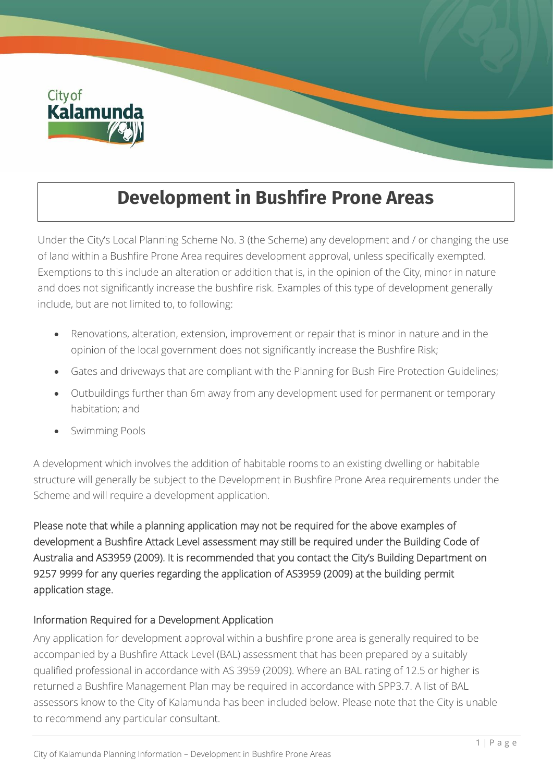

# **Development in Bushfire Prone Areas**

Under the City's Local Planning Scheme No. 3 (the Scheme) any development and / or changing the use of land within a Bushfire Prone Area requires development approval, unless specifically exempted. Exemptions to this include an alteration or addition that is, in the opinion of the City, minor in nature and does not significantly increase the bushfire risk. Examples of this type of development generally include, but are not limited to, to following:

- Renovations, alteration, extension, improvement or repair that is minor in nature and in the opinion of the local government does not significantly increase the Bushfire Risk;
- Gates and driveways that are compliant with the Planning for Bush Fire Protection Guidelines;
- Outbuildings further than 6m away from any development used for permanent or temporary habitation; and
- Swimming Pools

A development which involves the addition of habitable rooms to an existing dwelling or habitable structure will generally be subject to the Development in Bushfire Prone Area requirements under the Scheme and will require a development application.

Please note that while a planning application may not be required for the above examples of development a Bushfire Attack Level assessment may still be required under the Building Code of Australia and AS3959 (2009). It is recommended that you contact the City's Building Department on 9257 9999 for any queries regarding the application of AS3959 (2009) at the building permit application stage.

## Information Required for a Development Application

Any application for development approval within a bushfire prone area is generally required to be accompanied by a Bushfire Attack Level (BAL) assessment that has been prepared by a suitably qualified professional in accordance with AS 3959 (2009). Where an BAL rating of 12.5 or higher is returned a Bushfire Management Plan may be required in accordance with SPP3.7. A list of BAL assessors know to the City of Kalamunda has been included below. Please note that the City is unable to recommend any particular consultant.